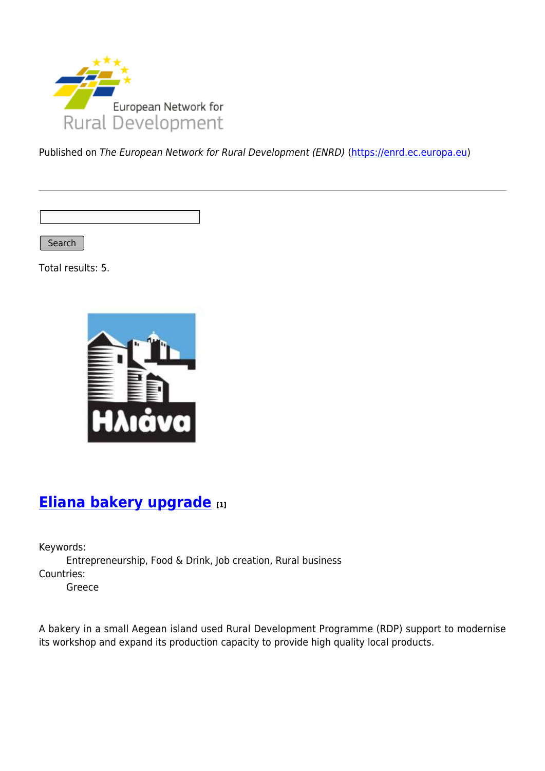

Published on The European Network for Rural Development (ENRD) [\(https://enrd.ec.europa.eu](https://enrd.ec.europa.eu))

Search

Total results: 5.



# **[Eliana bakery upgrade](https://enrd.ec.europa.eu/projects-practice/eliana-bakery-upgrade_en) [1]**

Keywords: Entrepreneurship, Food & Drink, Job creation, Rural business Countries: Greece

A bakery in a small Aegean island used Rural Development Programme (RDP) support to modernise its workshop and expand its production capacity to provide high quality local products.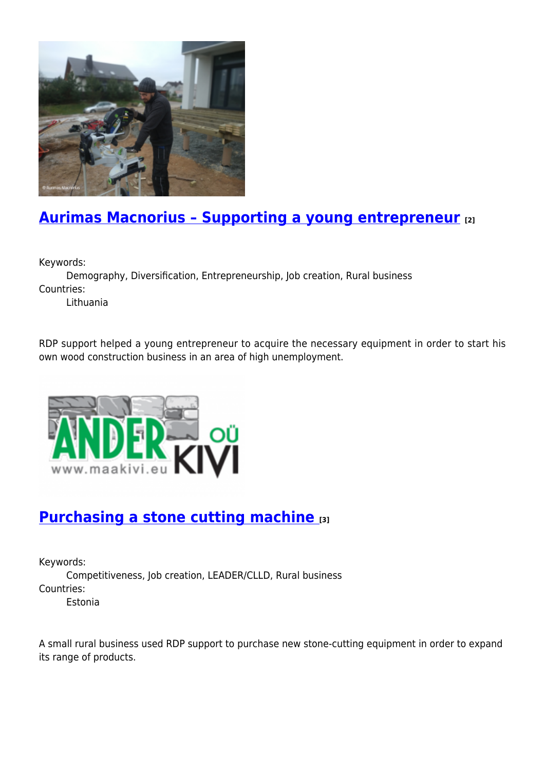

# **[Aurimas Macnorius – Supporting a young entrepreneur](https://enrd.ec.europa.eu/projects-practice/aurimas-macnorius-supporting-young-entrepreneur_en) [2]**

Keywords:

Demography, Diversification, Entrepreneurship, Job creation, Rural business Countries:

Lithuania

RDP support helped a young entrepreneur to acquire the necessary equipment in order to start his own wood construction business in an area of high unemployment.



## **[Purchasing a stone cutting machine](https://enrd.ec.europa.eu/projects-practice/purchasing-stone-cutting-machine_en) [3]**

Keywords:

Competitiveness, Job creation, LEADER/CLLD, Rural business Countries: Estonia

A small rural business used RDP support to purchase new stone-cutting equipment in order to expand its range of products.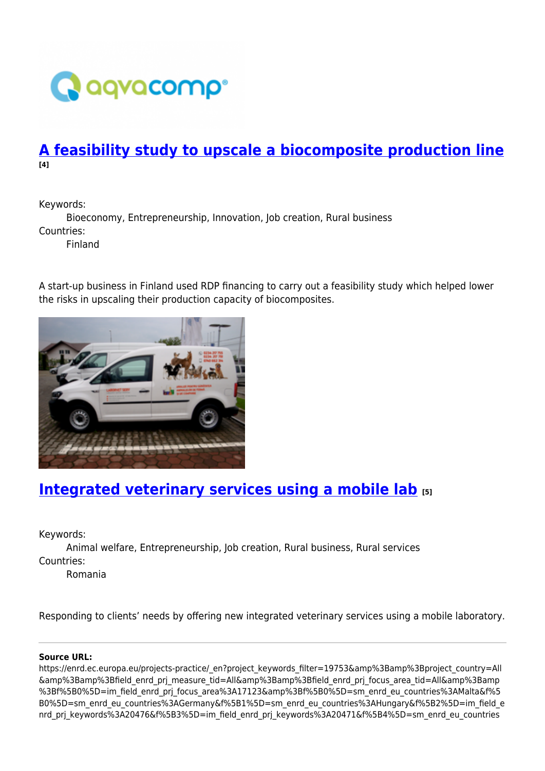

### **[A feasibility study to upscale a biocomposite production line](https://enrd.ec.europa.eu/projects-practice/feasibility-study-upscale-biocomposite-production-line_en) [4]**

Keywords:

Bioeconomy, Entrepreneurship, Innovation, Job creation, Rural business Countries:

Finland

A start-up business in Finland used RDP financing to carry out a feasibility study which helped lower the risks in upscaling their production capacity of biocomposites.



## **[Integrated veterinary services using a mobile lab](https://enrd.ec.europa.eu/projects-practice/integrated-veterinary-services-using-mobile-lab_en) [5]**

Keywords:

Animal welfare, Entrepreneurship, Job creation, Rural business, Rural services Countries:

Romania

Responding to clients' needs by offering new integrated veterinary services using a mobile laboratory.

### **Source URL:**

https://enrd.ec.europa.eu/projects-practice/\_en?project\_keywords\_filter=19753&amp%3Bamp%3Bproject\_country=All &amp%3Bamp%3Bfield\_enrd\_prj\_measure\_tid=All&amp%3Bamp%3Bfield\_enrd\_prj\_focus\_area\_tid=All&amp%3Bamp %3Bf%5B0%5D=im\_field\_enrd\_prj\_focus\_area%3A17123&amp%3Bf%5B0%5D=sm\_enrd\_eu\_countries%3AMalta&f%5 B0%5D=sm\_enrd\_eu\_countries%3AGermany&f%5B1%5D=sm\_enrd\_eu\_countries%3AHungary&f%5B2%5D=im\_field\_e nrd prj keywords%3A20476&f%5B3%5D=im field enrd prj keywords%3A20471&f%5B4%5D=sm enrd eu countries